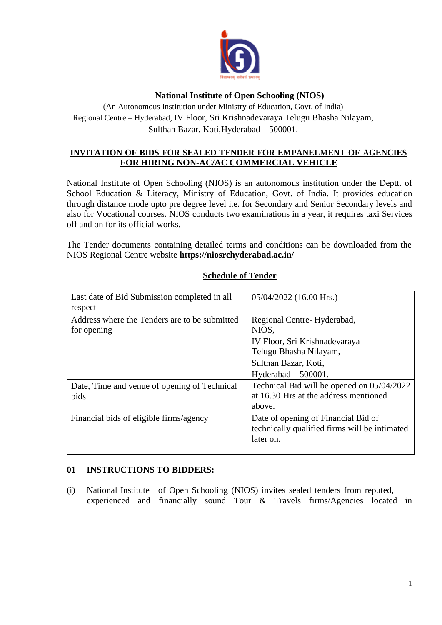

## **National Institute of Open Schooling (NIOS)**

(An Autonomous Institution under Ministry of Education, Govt. of India) Regional Centre – Hyderabad, IV Floor, Sri Krishnadevaraya Telugu Bhasha Nilayam, Sulthan Bazar, Koti,Hyderabad – 500001.

## **INVITATION OF BIDS FOR SEALED TENDER FOR EMPANELMENT OF AGENCIES FOR HIRING NON-AC/AC COMMERCIAL VEHICLE**

National Institute of Open Schooling (NIOS) is an autonomous institution under the Deptt. of School Education & Literacy, Ministry of Education, Govt. of India. It provides education through distance mode upto pre degree level i.e. for Secondary and Senior Secondary levels and also for Vocational courses. NIOS conducts two examinations in a year, it requires taxi Services off and on for its official works**.**

The Tender documents containing detailed terms and conditions can be downloaded from the NIOS Regional Centre website **https://niosrchyderabad.ac.in/**

| Last date of Bid Submission completed in all<br>respect      | 05/04/2022 (16.00 Hrs.)                                                                                                                         |
|--------------------------------------------------------------|-------------------------------------------------------------------------------------------------------------------------------------------------|
| Address where the Tenders are to be submitted<br>for opening | Regional Centre-Hyderabad,<br>NIOS,<br>IV Floor, Sri Krishnadevaraya<br>Telugu Bhasha Nilayam,<br>Sulthan Bazar, Koti,<br>Hyderabad $-500001$ . |
| Date, Time and venue of opening of Technical<br>bids         | Technical Bid will be opened on 05/04/2022<br>at 16.30 Hrs at the address mentioned<br>above.                                                   |
| Financial bids of eligible firms/agency                      | Date of opening of Financial Bid of<br>technically qualified firms will be intimated<br>later on.                                               |

# **Schedule of Tender**

### **01 INSTRUCTIONS TO BIDDERS:**

(i) National Institute of Open Schooling (NIOS) invites sealed tenders from reputed, experienced and financially sound Tour & Travels firms/Agencies located in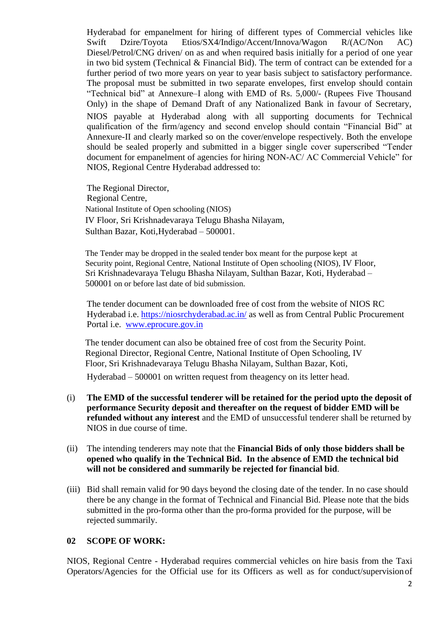Hyderabad for empanelment for hiring of different types of Commercial vehicles like<br>Swift Dzire/Toyota Etios/SX4/Indigo/Accent/Innova/Wagon R/(AC/Non AC) Dzire/Toyota Etios/SX4/Indigo/Accent/Innova/Wagon R/(AC/Non AC) Diesel/Petrol/CNG driven/ on as and when required basis initially for a period of one year in two bid system (Technical & Financial Bid). The term of contract can be extended for a further period of two more years on year to year basis subject to satisfactory performance. The proposal must be submitted in two separate envelopes, first envelop should contain "Technical bid" at Annexure–I along with EMD of Rs. 5,000/- (Rupees Five Thousand Only) in the shape of Demand Draft of any Nationalized Bank in favour of Secretary, NIOS payable at Hyderabad along with all supporting documents for Technical qualification of the firm/agency and second envelop should contain "Financial Bid" at Annexure-II and clearly marked so on the cover/envelope respectively. Both the envelope should be sealed properly and submitted in a bigger single cover superscribed "Tender document for empanelment of agencies for hiring NON-AC/ AC Commercial Vehicle" for NIOS, Regional Centre Hyderabad addressed to:

The Regional Director, Regional Centre, National Institute of Open schooling (NIOS) IV Floor, Sri Krishnadevaraya Telugu Bhasha Nilayam, Sulthan Bazar, Koti,Hyderabad – 500001.

The Tender may be dropped in the sealed tender box meant for the purpose kept at Security point, Regional Centre, National Institute of Open schooling (NIOS), IV Floor, Sri Krishnadevaraya Telugu Bhasha Nilayam, Sulthan Bazar, Koti, Hyderabad – 500001 on or before last date of bid submission.

The tender document can be downloaded free of cost from the website of NIOS RC Hyderabad i.e. https://niosrchyderabad.ac.in/ as well as from Central Public Procurement Portal i.e. [www.eprocure.gov.in](http://www.eprocure.gov.in/)

The tender document can also be obtained free of cost from the Security Point. Regional Director, Regional Centre, National Institute of Open Schooling, IV Floor, Sri Krishnadevaraya Telugu Bhasha Nilayam, Sulthan Bazar, Koti,

Hyderabad – 500001 on written request from theagency on its letter head.

- (i) **The EMD of the successful tenderer will be retained for the period upto the deposit of performance Security deposit and thereafter on the request of bidder EMD will be refunded without any interest** and the EMD of unsuccessful tenderer shall be returned by NIOS in due course of time.
- (ii) The intending tenderers may note that the **Financial Bids of only those bidders shall be opened who qualify in the Technical Bid. In the absence of EMD the technical bid will not be considered and summarily be rejected for financial bid**.
- (iii) Bid shall remain valid for 90 days beyond the closing date of the tender. In no case should there be any change in the format of Technical and Financial Bid. Please note that the bids submitted in the pro-forma other than the pro-forma provided for the purpose, will be rejected summarily.

### **02 SCOPE OF WORK:**

NIOS, Regional Centre - Hyderabad requires commercial vehicles on hire basis from the Taxi Operators/Agencies for the Official use for its Officers as well as for conduct/supervisionof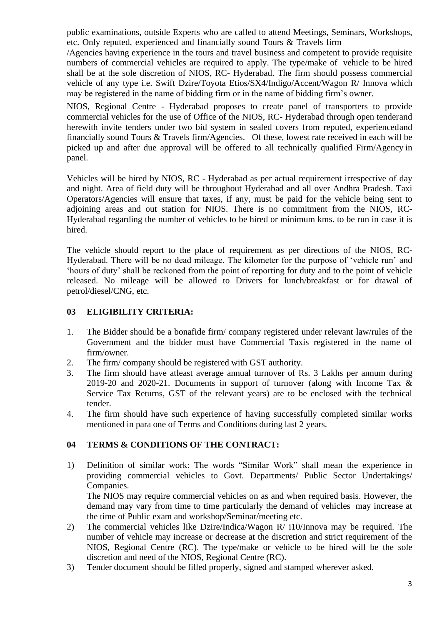public examinations, outside Experts who are called to attend Meetings, Seminars, Workshops, etc. Only reputed, experienced and financially sound Tours & Travels firm

/Agencies having experience in the tours and travel business and competent to provide requisite numbers of commercial vehicles are required to apply. The type/make of vehicle to be hired shall be at the sole discretion of NIOS, RC- Hyderabad. The firm should possess commercial vehicle of any type i.e. Swift Dzire/Toyota Etios/SX4/Indigo/Accent/Wagon R/ Innova which may be registered in the name of bidding firm or in the name of bidding firm's owner.

NIOS, Regional Centre - Hyderabad proposes to create panel of transporters to provide commercial vehicles for the use of Office of the NIOS, RC- Hyderabad through open tenderand herewith invite tenders under two bid system in sealed covers from reputed, experiencedand financially sound Tours & Travels firm/Agencies. Of these, lowest rate received in each will be picked up and after due approval will be offered to all technically qualified Firm/Agency in panel.

Vehicles will be hired by NIOS, RC - Hyderabad as per actual requirement irrespective of day and night. Area of field duty will be throughout Hyderabad and all over Andhra Pradesh. Taxi Operators/Agencies will ensure that taxes, if any, must be paid for the vehicle being sent to adjoining areas and out station for NIOS. There is no commitment from the NIOS, RC-Hyderabad regarding the number of vehicles to be hired or minimum kms. to be run in case it is hired.

The vehicle should report to the place of requirement as per directions of the NIOS, RC-Hyderabad. There will be no dead mileage. The kilometer for the purpose of 'vehicle run' and 'hours of duty' shall be reckoned from the point of reporting for duty and to the point of vehicle released. No mileage will be allowed to Drivers for lunch/breakfast or for drawal of petrol/diesel/CNG, etc.

# **03 ELIGIBILITY CRITERIA:**

- 1. The Bidder should be a bonafide firm/ company registered under relevant law/rules of the Government and the bidder must have Commercial Taxis registered in the name of firm/owner.
- 2. The firm/ company should be registered with GST authority.
- 3. The firm should have atleast average annual turnover of Rs. 3 Lakhs per annum during 2019-20 and 2020-21. Documents in support of turnover (along with Income Tax & Service Tax Returns, GST of the relevant years) are to be enclosed with the technical tender.
- 4. The firm should have such experience of having successfully completed similar works mentioned in para one of Terms and Conditions during last 2 years.

# **04 TERMS & CONDITIONS OF THE CONTRACT:**

1) Definition of similar work: The words "Similar Work" shall mean the experience in providing commercial vehicles to Govt. Departments/ Public Sector Undertakings/ Companies.

The NIOS may require commercial vehicles on as and when required basis. However, the demand may vary from time to time particularly the demand of vehicles may increase at the time of Public exam and workshop/Seminar/meeting etc.

- 2) The commercial vehicles like Dzire/Indica/Wagon R/ i10/Innova may be required. The number of vehicle may increase or decrease at the discretion and strict requirement of the NIOS, Regional Centre (RC). The type/make or vehicle to be hired will be the sole discretion and need of the NIOS, Regional Centre (RC).
- 3) Tender document should be filled properly, signed and stamped wherever asked.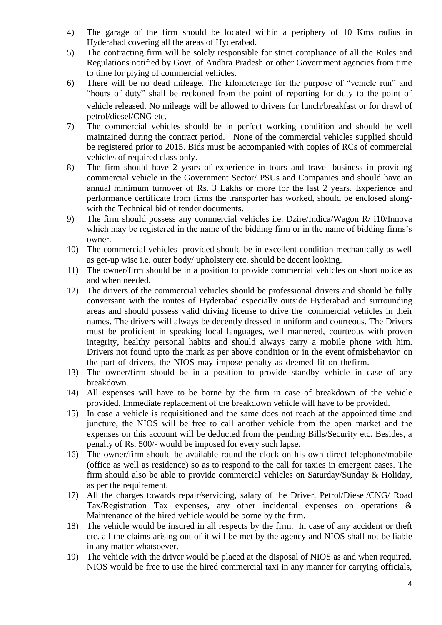- 4) The garage of the firm should be located within a periphery of 10 Kms radius in Hyderabad covering all the areas of Hyderabad.
- 5) The contracting firm will be solely responsible for strict compliance of all the Rules and Regulations notified by Govt. of Andhra Pradesh or other Government agencies from time to time for plying of commercial vehicles.
- 6) There will be no dead mileage. The kilometerage for the purpose of "vehicle run" and "hours of duty" shall be reckoned from the point of reporting for duty to the point of vehicle released. No mileage will be allowed to drivers for lunch/breakfast or for drawl of petrol/diesel/CNG etc.
- 7) The commercial vehicles should be in perfect working condition and should be well maintained during the contract period. None of the commercial vehicles supplied should be registered prior to 2015. Bids must be accompanied with copies of RCs of commercial vehicles of required class only.
- 8) The firm should have 2 years of experience in tours and travel business in providing commercial vehicle in the Government Sector/ PSUs and Companies and should have an annual minimum turnover of Rs. 3 Lakhs or more for the last 2 years. Experience and performance certificate from firms the transporter has worked, should be enclosed alongwith the Technical bid of tender documents.
- 9) The firm should possess any commercial vehicles i.e. Dzire/Indica/Wagon R/ i10/Innova which may be registered in the name of the bidding firm or in the name of bidding firms's owner.
- 10) The commercial vehicles provided should be in excellent condition mechanically as well as get-up wise i.e. outer body/ upholstery etc. should be decent looking.
- 11) The owner/firm should be in a position to provide commercial vehicles on short notice as and when needed.
- 12) The drivers of the commercial vehicles should be professional drivers and should be fully conversant with the routes of Hyderabad especially outside Hyderabad and surrounding areas and should possess valid driving license to drive the commercial vehicles in their names. The drivers will always be decently dressed in uniform and courteous. The Drivers must be proficient in speaking local languages, well mannered, courteous with proven integrity, healthy personal habits and should always carry a mobile phone with him. Drivers not found upto the mark as per above condition or in the event ofmisbehavior on the part of drivers, the NIOS may impose penalty as deemed fit on thefirm.
- 13) The owner/firm should be in a position to provide standby vehicle in case of any breakdown.
- 14) All expenses will have to be borne by the firm in case of breakdown of the vehicle provided. Immediate replacement of the breakdown vehicle will have to be provided.
- 15) In case a vehicle is requisitioned and the same does not reach at the appointed time and juncture, the NIOS will be free to call another vehicle from the open market and the expenses on this account will be deducted from the pending Bills/Security etc. Besides, a penalty of Rs. 500/- would be imposed for every such lapse.
- 16) The owner/firm should be available round the clock on his own direct telephone/mobile (office as well as residence) so as to respond to the call for taxies in emergent cases. The firm should also be able to provide commercial vehicles on Saturday/Sunday & Holiday, as per the requirement.
- 17) All the charges towards repair/servicing, salary of the Driver, Petrol/Diesel/CNG/ Road Tax/Registration Tax expenses, any other incidental expenses on operations & Maintenance of the hired vehicle would be borne by the firm.
- 18) The vehicle would be insured in all respects by the firm. In case of any accident or theft etc. all the claims arising out of it will be met by the agency and NIOS shall not be liable in any matter whatsoever.
- 19) The vehicle with the driver would be placed at the disposal of NIOS as and when required. NIOS would be free to use the hired commercial taxi in any manner for carrying officials,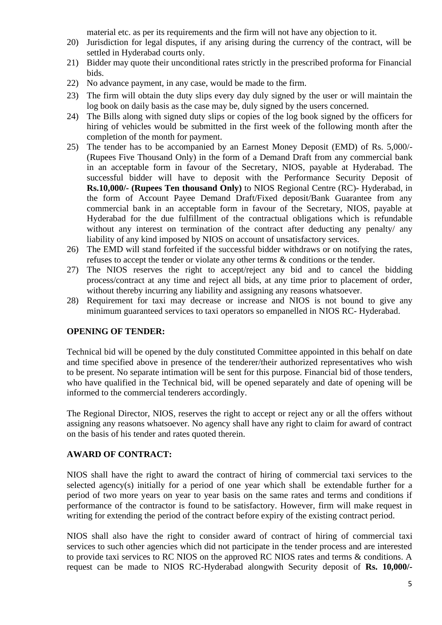material etc. as per its requirements and the firm will not have any objection to it.

- 20) Jurisdiction for legal disputes, if any arising during the currency of the contract, will be settled in Hyderabad courts only.
- 21) Bidder may quote their unconditional rates strictly in the prescribed proforma for Financial bids.
- 22) No advance payment, in any case, would be made to the firm.
- 23) The firm will obtain the duty slips every day duly signed by the user or will maintain the log book on daily basis as the case may be, duly signed by the users concerned.
- 24) The Bills along with signed duty slips or copies of the log book signed by the officers for hiring of vehicles would be submitted in the first week of the following month after the completion of the month for payment.
- 25) The tender has to be accompanied by an Earnest Money Deposit (EMD) of Rs. 5,000/- (Rupees Five Thousand Only) in the form of a Demand Draft from any commercial bank in an acceptable form in favour of the Secretary, NIOS, payable at Hyderabad. The successful bidder will have to deposit with the Performance Security Deposit of **Rs.10,000/- (Rupees Ten thousand Only)** to NIOS Regional Centre (RC)- Hyderabad, in the form of Account Payee Demand Draft/Fixed deposit/Bank Guarantee from any commercial bank in an acceptable form in favour of the Secretary, NIOS, payable at Hyderabad for the due fulfillment of the contractual obligations which is refundable without any interest on termination of the contract after deducting any penalty/ any liability of any kind imposed by NIOS on account of unsatisfactory services.
- 26) The EMD will stand forfeited if the successful bidder withdraws or on notifying the rates, refuses to accept the tender or violate any other terms & conditions or the tender.
- 27) The NIOS reserves the right to accept/reject any bid and to cancel the bidding process/contract at any time and reject all bids, at any time prior to placement of order, without thereby incurring any liability and assigning any reasons whatsoever.
- 28) Requirement for taxi may decrease or increase and NIOS is not bound to give any minimum guaranteed services to taxi operators so empanelled in NIOS RC- Hyderabad.

### **OPENING OF TENDER:**

Technical bid will be opened by the duly constituted Committee appointed in this behalf on date and time specified above in presence of the tenderer/their authorized representatives who wish to be present. No separate intimation will be sent for this purpose. Financial bid of those tenders, who have qualified in the Technical bid, will be opened separately and date of opening will be informed to the commercial tenderers accordingly.

The Regional Director, NIOS, reserves the right to accept or reject any or all the offers without assigning any reasons whatsoever. No agency shall have any right to claim for award of contract on the basis of his tender and rates quoted therein.

### **AWARD OF CONTRACT:**

NIOS shall have the right to award the contract of hiring of commercial taxi services to the selected agency(s) initially for a period of one year which shall be extendable further for a period of two more years on year to year basis on the same rates and terms and conditions if performance of the contractor is found to be satisfactory. However, firm will make request in writing for extending the period of the contract before expiry of the existing contract period.

NIOS shall also have the right to consider award of contract of hiring of commercial taxi services to such other agencies which did not participate in the tender process and are interested to provide taxi services to RC NIOS on the approved RC NIOS rates and terms & conditions. A request can be made to NIOS RC-Hyderabad alongwith Security deposit of **Rs. 10,000/-**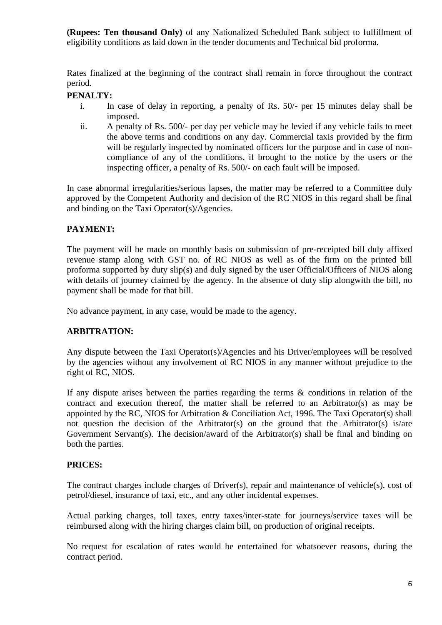**(Rupees: Ten thousand Only)** of any Nationalized Scheduled Bank subject to fulfillment of eligibility conditions as laid down in the tender documents and Technical bid proforma.

Rates finalized at the beginning of the contract shall remain in force throughout the contract period.

# **PENALTY:**

- i. In case of delay in reporting, a penalty of Rs. 50/- per 15 minutes delay shall be imposed.
- ii. A penalty of Rs. 500/- per day per vehicle may be levied if any vehicle fails to meet the above terms and conditions on any day. Commercial taxis provided by the firm will be regularly inspected by nominated officers for the purpose and in case of noncompliance of any of the conditions, if brought to the notice by the users or the inspecting officer, a penalty of Rs. 500/- on each fault will be imposed.

In case abnormal irregularities/serious lapses, the matter may be referred to a Committee duly approved by the Competent Authority and decision of the RC NIOS in this regard shall be final and binding on the Taxi Operator(s)/Agencies.

# **PAYMENT:**

The payment will be made on monthly basis on submission of pre-receipted bill duly affixed revenue stamp along with GST no. of RC NIOS as well as of the firm on the printed bill proforma supported by duty slip(s) and duly signed by the user Official/Officers of NIOS along with details of journey claimed by the agency. In the absence of duty slip alongwith the bill, no payment shall be made for that bill.

No advance payment, in any case, would be made to the agency.

### **ARBITRATION:**

Any dispute between the Taxi Operator(s)/Agencies and his Driver/employees will be resolved by the agencies without any involvement of RC NIOS in any manner without prejudice to the right of RC, NIOS.

If any dispute arises between the parties regarding the terms & conditions in relation of the contract and execution thereof, the matter shall be referred to an Arbitrator(s) as may be appointed by the RC, NIOS for Arbitration & Conciliation Act, 1996. The Taxi Operator(s) shall not question the decision of the Arbitrator(s) on the ground that the Arbitrator(s) is/are Government Servant(s). The decision/award of the Arbitrator(s) shall be final and binding on both the parties.

### **PRICES:**

The contract charges include charges of Driver(s), repair and maintenance of vehicle(s), cost of petrol/diesel, insurance of taxi, etc., and any other incidental expenses.

Actual parking charges, toll taxes, entry taxes/inter-state for journeys/service taxes will be reimbursed along with the hiring charges claim bill, on production of original receipts.

No request for escalation of rates would be entertained for whatsoever reasons, during the contract period.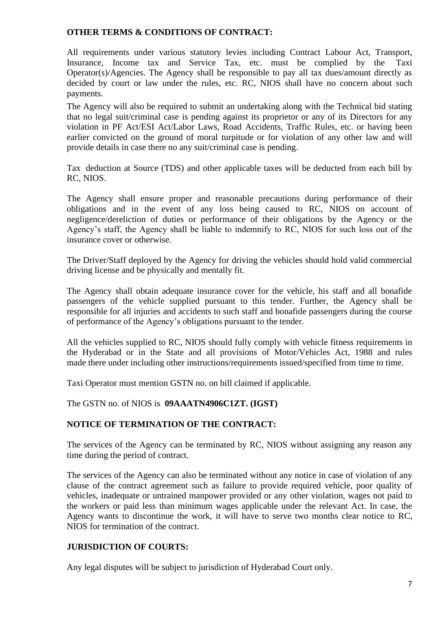### **OTHER TERMS & CONDITIONS OF CONTRACT:**

All requirements under various statutory levies including Contract Labour Act, Transport, Insurance, Income tax and Service Tax, etc. must be complied by the Taxi Operator(s)/Agencies. The Agency shall be responsible to pay all tax dues/amount directly as decided by court or law under the rules, etc. RC, NIOS shall have no concern about such payments.

The Agency will also be required to submit an undertaking along with the Technical bid stating that no legal suit/criminal case is pending against its proprietor or any of its Directors for any violation in PF Act/ESI Act/Labor Laws, Road Accidents, Traffic Rules, etc. or having been earlier convicted on the ground of moral turpitude or for violation of any other law and will provide details in case there no any suit/criminal case is pending.

Tax deduction at Source (TDS) and other applicable taxes will be deducted from each bill by RC, NIOS.

The Agency shall ensure proper and reasonable precautions during performance of their obligations and in the event of any loss being caused to RC, NIOS on account of negligence/dereliction of duties or performance of their obligations by the Agency or the Agency's staff, the Agency shall be liable to indemnify to RC, NIOS for such loss out of the insurance cover or otherwise.

The Driver/Staff deployed by the Agency for driving the vehicles should hold valid commercial driving license and be physically and mentally fit.

The Agency shall obtain adequate insurance cover for the vehicle, his staff and all bonafide passengers of the vehicle supplied pursuant to this tender. Further, the Agency shall be responsible for all injuries and accidents to such staff and bonafide passengers during the course of performance of the Agency's obligations pursuant to the tender.

All the vehicles supplied to RC, NIOS should fully comply with vehicle fitness requirements in the Hyderabad or in the State and all provisions of Motor/Vehicles Act, 1988 and rules made there under including other instructions/requirements issued/specified from time to time.

Taxi Operator must mention GSTN no. on bill claimed if applicable.

The GSTN no. of NIOS is **09AAATN4906C1ZT. (IGST)**

#### **NOTICE OF TERMINATION OF THE CONTRACT:**

The services of the Agency can be terminated by RC, NIOS without assigning any reason any time during the period of contract.

The services of the Agency can also be terminated without any notice in case of violation of any clause of the contract agreement such as failure to provide required vehicle, poor quality of vehicles, inadequate or untrained manpower provided or any other violation, wages not paid to the workers or paid less than minimum wages applicable under the relevant Act. In case, the Agency wants to discontinue the work, it will have to serve two months clear notice to RC, NIOS for termination of the contract.

#### **JURISDICTION OF COURTS:**

Any legal disputes will be subject to jurisdiction of Hyderabad Court only.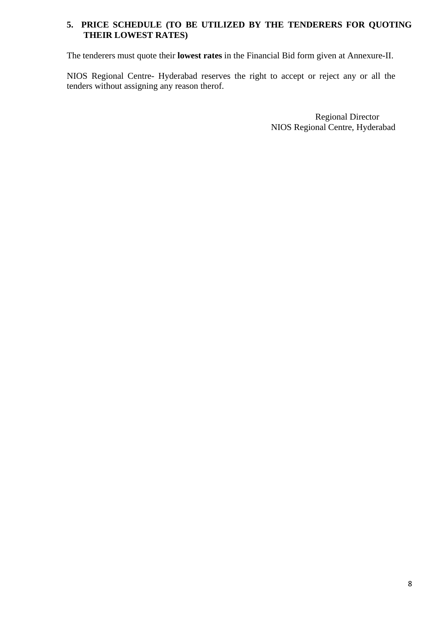# **5. PRICE SCHEDULE (TO BE UTILIZED BY THE TENDERERS FOR QUOTING THEIR LOWEST RATES)**

The tenderers must quote their **lowest rates** in the Financial Bid form given at Annexure-II.

NIOS Regional Centre- Hyderabad reserves the right to accept or reject any or all the tenders without assigning any reason therof.

> Regional Director NIOS Regional Centre, Hyderabad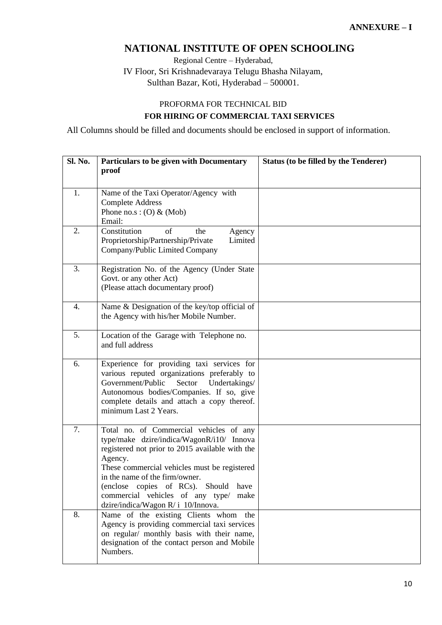# **NATIONAL INSTITUTE OF OPEN SCHOOLING**

Regional Centre – Hyderabad, IV Floor, Sri Krishnadevaraya Telugu Bhasha Nilayam, Sulthan Bazar, Koti, Hyderabad – 500001.

# PROFORMA FOR TECHNICAL BID **FOR HIRING OF COMMERCIAL TAXI SERVICES**

All Columns should be filled and documents should be enclosed in support of information.

| Sl. No. | Particulars to be given with Documentary<br>proof                                                                                                                                                                                                                                                                                                          | <b>Status (to be filled by the Tenderer)</b> |
|---------|------------------------------------------------------------------------------------------------------------------------------------------------------------------------------------------------------------------------------------------------------------------------------------------------------------------------------------------------------------|----------------------------------------------|
| 1.      | Name of the Taxi Operator/Agency with<br><b>Complete Address</b><br>Phone no.s: $(O)$ & (Mob)<br>Email:                                                                                                                                                                                                                                                    |                                              |
| 2.      | Constitution<br>of<br>the<br>Agency<br>Limited<br>Proprietorship/Partnership/Private<br>Company/Public Limited Company                                                                                                                                                                                                                                     |                                              |
| 3.      | Registration No. of the Agency (Under State<br>Govt. or any other Act)<br>(Please attach documentary proof)                                                                                                                                                                                                                                                |                                              |
| 4.      | Name & Designation of the key/top official of<br>the Agency with his/her Mobile Number.                                                                                                                                                                                                                                                                    |                                              |
| 5.      | Location of the Garage with Telephone no.<br>and full address                                                                                                                                                                                                                                                                                              |                                              |
| 6.      | Experience for providing taxi services for<br>various reputed organizations preferably to<br>Government/Public<br>Sector<br>Undertakings/<br>Autonomous bodies/Companies. If so, give<br>complete details and attach a copy thereof.<br>minimum Last 2 Years.                                                                                              |                                              |
| 7.      | Total no. of Commercial vehicles of any<br>type/make dzire/indica/WagonR/i10/ Innova<br>registered not prior to 2015 available with the<br>Agency.<br>These commercial vehicles must be registered<br>in the name of the firm/owner.<br>(enclose copies of RCs). Should have<br>commercial vehicles of any type/ make<br>dzire/indica/Wagon R/i 10/Innova. |                                              |
| 8.      | Name of the existing Clients whom the<br>Agency is providing commercial taxi services<br>on regular/ monthly basis with their name,<br>designation of the contact person and Mobile<br>Numbers.                                                                                                                                                            |                                              |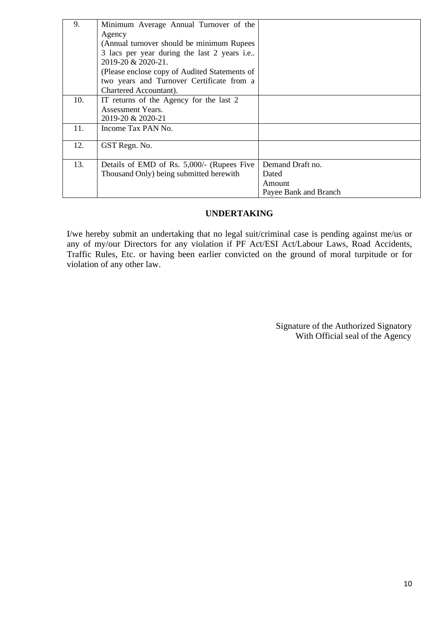| 9.  | Minimum Average Annual Turnover of the        |                       |
|-----|-----------------------------------------------|-----------------------|
|     | Agency                                        |                       |
|     | (Annual turnover should be minimum Rupees)    |                       |
|     | 3 lacs per year during the last 2 years i.e   |                       |
|     | 2019-20 & 2020-21.                            |                       |
|     | (Please enclose copy of Audited Statements of |                       |
|     | two years and Turnover Certificate from a     |                       |
|     | Chartered Accountant).                        |                       |
| 10. | IT returns of the Agency for the last 2       |                       |
|     | <b>Assessment Years.</b>                      |                       |
|     | 2019-20 & 2020-21                             |                       |
| 11. | Income Tax PAN No.                            |                       |
|     |                                               |                       |
| 12. | GST Regn. No.                                 |                       |
|     |                                               |                       |
| 13. | Details of EMD of Rs. 5,000/- (Rupees Five    | Demand Draft no.      |
|     | Thousand Only) being submitted herewith       | Dated                 |
|     |                                               | Amount                |
|     |                                               | Payee Bank and Branch |

### **UNDERTAKING**

I/we hereby submit an undertaking that no legal suit/criminal case is pending against me/us or any of my/our Directors for any violation if PF Act/ESI Act/Labour Laws, Road Accidents, Traffic Rules, Etc. or having been earlier convicted on the ground of moral turpitude or for violation of any other law.

> Signature of the Authorized Signatory With Official seal of the Agency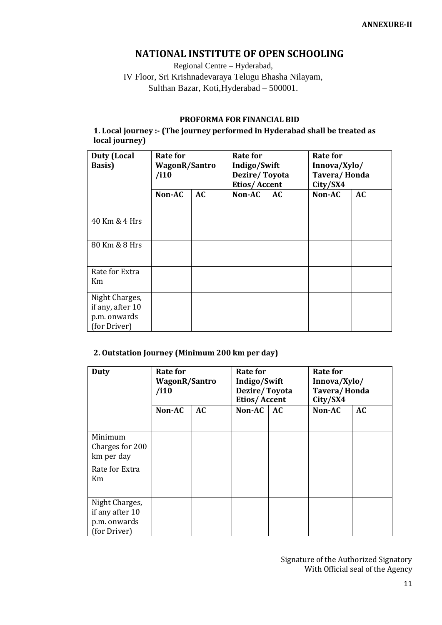# **NATIONAL INSTITUTE OF OPEN SCHOOLING**

Regional Centre – Hyderabad, IV Floor, Sri Krishnadevaraya Telugu Bhasha Nilayam, Sulthan Bazar, Koti, Hyderabad - 500001.

### **PROFORMA FOR FINANCIAL BID**

**1. Local journey :- (The journey performed in Hyderabad shall be treated as local journey)**

| <b>Duty (Local</b><br><b>Basis</b> )                               | Rate for<br>WagonR/Santro<br>/i10 |           | Rate for<br>Indigo/Swift<br>Dezire/Toyota<br>Etios/Accent |    | Rate for<br>Innova/Xylo/<br>Tavera/Honda<br>City/SX4 |    |
|--------------------------------------------------------------------|-----------------------------------|-----------|-----------------------------------------------------------|----|------------------------------------------------------|----|
|                                                                    | Non-AC                            | <b>AC</b> | Non-AC                                                    | AC | Non-AC                                               | AC |
| 40 Km & 4 Hrs                                                      |                                   |           |                                                           |    |                                                      |    |
| 80 Km & 8 Hrs                                                      |                                   |           |                                                           |    |                                                      |    |
| Rate for Extra<br>Km                                               |                                   |           |                                                           |    |                                                      |    |
| Night Charges,<br>if any, after 10<br>p.m. onwards<br>(for Driver) |                                   |           |                                                           |    |                                                      |    |

#### **2. Outstation Journey (Minimum 200 km per day)**

| <b>Duty</b>                                                       | <b>Rate for</b><br><b>WagonR/Santro</b><br>/i10 |    | <b>Rate for</b><br>Indigo/Swift<br>Dezire/Toyota<br><b>Etios/Accent</b> |    | <b>Rate for</b><br>Innova/Xylo/<br>Tavera/Honda<br>City/SX4 |    |
|-------------------------------------------------------------------|-------------------------------------------------|----|-------------------------------------------------------------------------|----|-------------------------------------------------------------|----|
|                                                                   | Non-AC                                          | AC | Non-AC                                                                  | AC | Non-AC                                                      | AC |
| Minimum<br>Charges for 200<br>km per day                          |                                                 |    |                                                                         |    |                                                             |    |
| Rate for Extra<br>Km                                              |                                                 |    |                                                                         |    |                                                             |    |
| Night Charges,<br>if any after 10<br>p.m. onwards<br>(for Driver) |                                                 |    |                                                                         |    |                                                             |    |

Signature of the Authorized Signatory With Official seal of the Agency